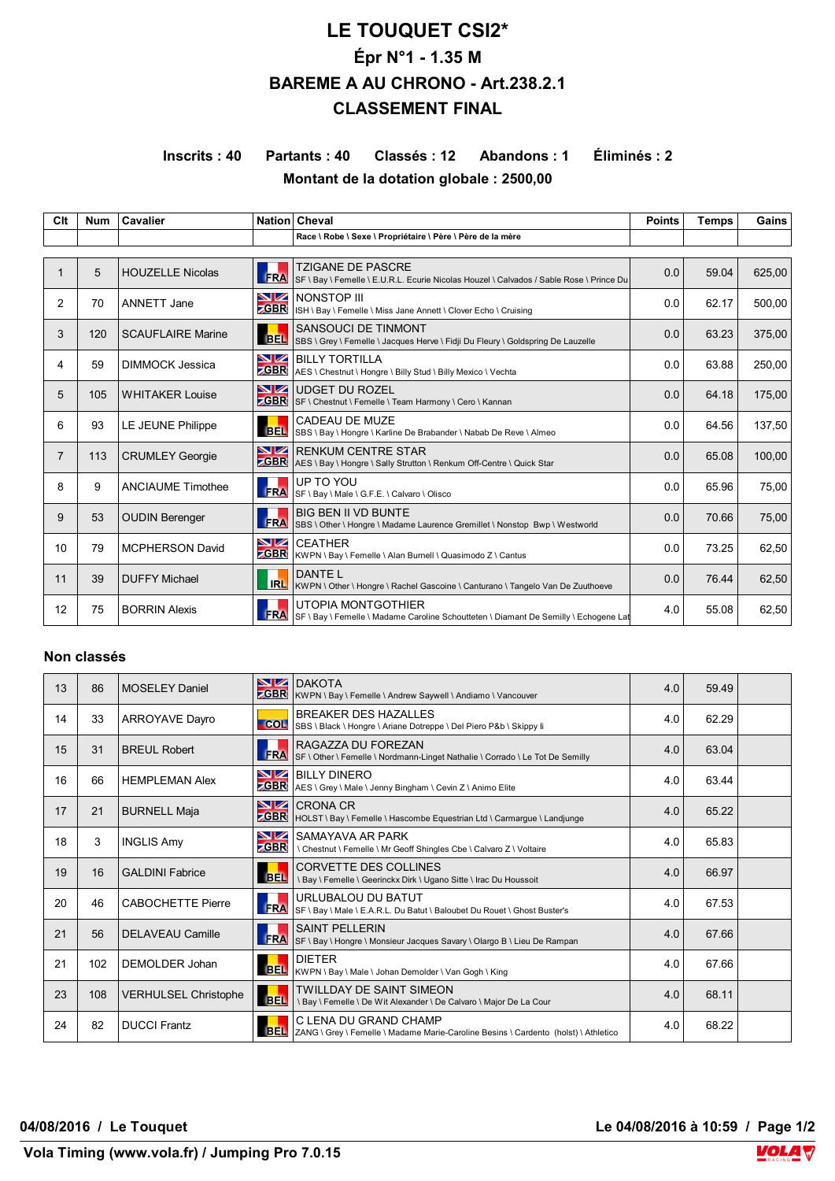# **LE TOUQUET CSI2\* Épr N°1 - 1.35 M BAREME A AU CHRONO - Art.238.2.1 CLASSEMENT FINAL**

## **Inscrits : 40 Partants : 40 Classés : 12 Abandons : 1 Éliminés : 2 Montant de la dotation globale : 2500,00**

| Clt            | <b>Num</b> | Cavalier                 |                   | Nation Cheval                                                                                                       | <b>Points</b> | <b>Temps</b> | Gains  |  |  |
|----------------|------------|--------------------------|-------------------|---------------------------------------------------------------------------------------------------------------------|---------------|--------------|--------|--|--|
|                |            |                          |                   | Race \ Robe \ Sexe \ Propriétaire \ Père \ Père de la mère                                                          |               |              |        |  |  |
|                |            |                          |                   |                                                                                                                     |               |              |        |  |  |
|                | 5          | <b>HOUZELLE Nicolas</b>  | <b>FRA</b>        | <b>TZIGANE DE PASCRE</b><br>SF \ Bay \ Femelle \ E.U.R.L. Ecurie Nicolas Houzel \ Calvados / Sable Rose \ Prince Du | 0.0           | 59.04        | 625,00 |  |  |
| 2              | 70         | ANNETT Jane              | VZ<br><b>GBR</b>  | <b>NONSTOP III</b><br>ISH \ Bay \ Femelle \ Miss Jane Annett \ Clover Echo \ Cruising                               | 0.0           | 62.17        | 500.00 |  |  |
| 3              | 120        | <b>SCAUFLAIRE Marine</b> | <b>BEL</b>        | SANSOUCI DE TINMONT<br>SBS \ Grey \ Femelle \ Jacques Herve \ Fidji Du Fleury \ Goldspring De Lauzelle              | 0.0           | 63.23        | 375,00 |  |  |
| 4              | 59         | <b>DIMMOCK Jessica</b>   | VZ<br><b>GBR</b>  | <b>BILLY TORTILLA</b><br>AES \ Chestnut \ Hongre \ Billy Stud \ Billy Mexico \ Vechta                               | 0.0           | 63.88        | 250,00 |  |  |
| 5              | 105        | <b>WHITAKER Louise</b>   | VZ<br><b>CBR</b>  | <b>UDGET DU ROZEL</b><br>SF \ Chestnut \ Femelle \ Team Harmony \ Cero \ Kannan                                     | 0.0           | 64.18        | 175,00 |  |  |
| 6              | 93         | LE JEUNE Philippe        | <b>BEL</b>        | CADEAU DE MUZE<br>SBS \ Bay \ Hongre \ Karline De Brabander \ Nabab De Reve \ Almeo                                 | 0.0           | 64.56        | 137,50 |  |  |
| $\overline{7}$ | 113        | <b>CRUMLEY Georgie</b>   | NZ<br><b>GBR</b>  | <b>RENKUM CENTRE STAR</b><br>AES \ Bay \ Hongre \ Sally Strutton \ Renkum Off-Centre \ Quick Star                   | 0.0           | 65.08        | 100.00 |  |  |
| 8              | 9          | <b>ANCIAUME Timothee</b> | <b>FRA</b>        | UP TO YOU<br>SF \ Bay \ Male \ G.F.E. \ Calvaro \ Olisco                                                            | 0.0           | 65.96        | 75,00  |  |  |
| 9              | 53         | <b>OUDIN Berenger</b>    | <b>FRA</b>        | <b>BIG BEN II VD BUNTE</b><br>SBS \ Other \ Hongre \ Madame Laurence Gremillet \ Nonstop Bwp \ Westworld            | 0.0           | 70.66        | 75,00  |  |  |
| 10             | 79         | <b>MCPHERSON David</b>   | VZ<br><b>ZGBR</b> | <b>CEATHER</b><br>KWPN \ Bay \ Femelle \ Alan Burnell \ Quasimodo Z \ Cantus                                        | 0.0           | 73.25        | 62,50  |  |  |
| 11             | 39         | <b>DUFFY Michael</b>     | <b>IRL</b>        | DANTE L<br>KWPN \ Other \ Hongre \ Rachel Gascoine \ Canturano \ Tangelo Van De Zuuthoeve                           | 0.0           | 76.44        | 62,50  |  |  |
| 12             | 75         | <b>BORRIN Alexis</b>     | <b>FRA</b>        | UTOPIA MONTGOTHIER<br>SF \ Bay \ Femelle \ Madame Caroline Schoutteten \ Diamant De Semilly \ Echogene Lat          | 4.0           | 55.08        | 62,50  |  |  |

#### **Non classés**

| 13 | 86  | <b>MOSELEY Daniel</b>       |                  | <b>NZ DAKOTA</b><br><b>GBR</b> KWPN \ Bay \ Femelle \ Andrew Saywell \ Andiamo \ Vancouver                         | 4.0 | 59.49 |  |
|----|-----|-----------------------------|------------------|--------------------------------------------------------------------------------------------------------------------|-----|-------|--|
| 14 | 33  | ARROYAVE Dayro              |                  | <b>BREAKER DES HAZALLES</b><br>COL SBS \ Black \ Hongre \ Ariane Dotreppe \ Del Piero P&b \ Skippy li              | 4.0 | 62.29 |  |
| 15 | 31  | <b>BREUL Robert</b>         | <b>FRA</b>       | RAGAZZA DU FOREZAN<br>SF \ Other \ Femelle \ Nordmann-Linget Nathalie \ Corrado \ Le Tot De Semilly                | 4.0 | 63.04 |  |
| 16 | 66  | <b>HEMPLEMAN Alex</b>       |                  | NZ BILLY DINERO<br><b>CBR</b> AES \ Grey \ Male \ Jenny Bingham \ Cevin Z \ Animo Elite                            | 4.0 | 63.44 |  |
| 17 | 21  | <b>BURNELL Maja</b>         |                  | <b>NZ</b> CRONA CR<br>ZGBR   HOLST \ Bay \ Femelle \ Hascombe Equestrian Ltd \ Carmargue \ Landjunge               | 4.0 | 65.22 |  |
| 18 | 3   | <b>INGLIS Amy</b>           | VZ<br><b>GBR</b> | SAMAYAVA AR PARK<br>\ Chestnut \ Femelle \ Mr Geoff Shingles Cbe \ Calvaro Z \ Voltaire                            | 4.0 | 65.83 |  |
| 19 | 16  | <b>GALDINI Fabrice</b>      | <b>BEL</b>       | <b>CORVETTE DES COLLINES</b><br>\ Bay \ Femelle \ Geerinckx Dirk \ Ugano Sitte \ Irac Du Houssoit                  | 4.0 | 66.97 |  |
| 20 | 46  | <b>CABOCHETTE Pierre</b>    |                  | URLUBALOU DU BATUT<br>SERA URLUDALUU DU DATUT<br>SERA SERARI SERARIL Du Batut \ Baloubet Du Rouet \ Ghost Buster's | 4.0 | 67.53 |  |
| 21 | 56  | <b>DELAVEAU Camille</b>     | <b>FRA</b>       | <b>SAINT PELLERIN</b><br>SF \ Bay \ Hongre \ Monsieur Jacques Savary \ Olargo B \ Lieu De Rampan                   | 4.0 | 67.66 |  |
| 21 | 102 | DEMOLDER Johan              |                  | <b>DIETER</b><br>BEL KWPN \ Bay \ Male \ Johan Demolder \ Van Gogh \ King                                          | 4.0 | 67.66 |  |
| 23 | 108 | <b>VERHULSEL Christophe</b> | <b>BEL</b>       | TWILLDAY DE SAINT SIMEON<br>\ Bay \ Femelle \ De Wit Alexander \ De Calvaro \ Major De La Cour                     | 4.0 | 68.11 |  |
| 24 | 82  | <b>DUCCI Frantz</b>         |                  | C LENA DU GRAND CHAMP<br>BEL ZANG \ Grey \ Femelle \ Madame Marie-Caroline Besins \ Cardento (holst) \ Athletico   | 4.0 | 68.22 |  |

**04/08/2016 / Le Touquet Le 04/08/2016 à 10:59 / Page 1/2**